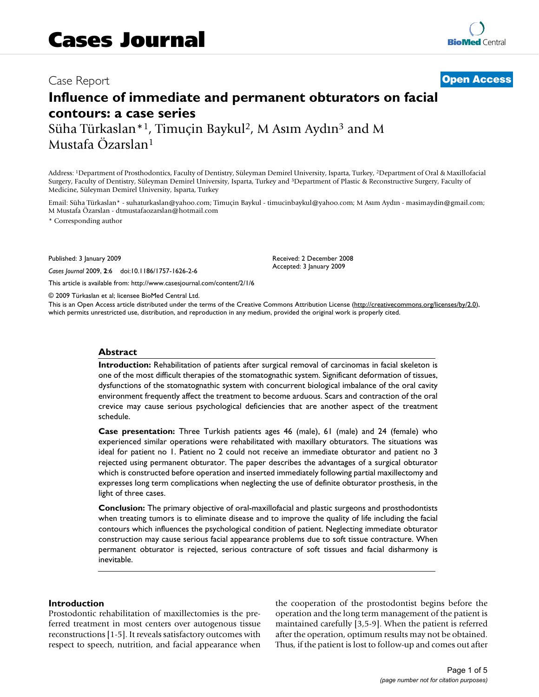# Case Report **[Open Access](http://www.biomedcentral.com/info/about/charter/)**

# **Influence of immediate and permanent obturators on facial contours: a case series**

Süha Türkaslan\*1, Timuçin Baykul2, M Asım Aydın3 and M Mustafa Özarslan1

Address: 1Department of Prosthodontics, Faculty of Dentistry, Süleyman Demirel University, Isparta, Turkey, 2Department of Oral & Maxillofacial Surgery, Faculty of Dentistry, Süleyman Demirel University, Isparta, Turkey and 3Department of Plastic & Reconstructive Surgery, Faculty of Medicine, Süleyman Demirel University, Isparta, Turkey

Email: Süha Türkaslan\* - suhaturkaslan@yahoo.com; Timuçin Baykul - timucinbaykul@yahoo.com; M Asım Aydın - masimaydin@gmail.com; M Mustafa Özarslan - dtmustafaozarslan@hotmail.com

> Received: 2 December 2008 Accepted: 3 January 2009

\* Corresponding author

Published: 3 January 2009

*Cases Journal* 2009, **2**:6 doi:10.1186/1757-1626-2-6

[This article is available from: http://www.casesjournal.com/content/2/1/6](http://www.casesjournal.com/content/2/1/6)

© 2009 Türkaslan et al; licensee BioMed Central Ltd.

This is an Open Access article distributed under the terms of the Creative Commons Attribution License [\(http://creativecommons.org/licenses/by/2.0\)](http://creativecommons.org/licenses/by/2.0), which permits unrestricted use, distribution, and reproduction in any medium, provided the original work is properly cited.

#### **Abstract**

**Introduction:** Rehabilitation of patients after surgical removal of carcinomas in facial skeleton is one of the most difficult therapies of the stomatognathic system. Significant deformation of tissues, dysfunctions of the stomatognathic system with concurrent biological imbalance of the oral cavity environment frequently affect the treatment to become arduous. Scars and contraction of the oral crevice may cause serious psychological deficiencies that are another aspect of the treatment schedule.

**Case presentation:** Three Turkish patients ages 46 (male), 61 (male) and 24 (female) who experienced similar operations were rehabilitated with maxillary obturators. The situations was ideal for patient no 1. Patient no 2 could not receive an immediate obturator and patient no 3 rejected using permanent obturator. The paper describes the advantages of a surgical obturator which is constructed before operation and inserted immediately following partial maxillectomy and expresses long term complications when neglecting the use of definite obturator prosthesis, in the light of three cases.

**Conclusion:** The primary objective of oral-maxillofacial and plastic surgeons and prosthodontists when treating tumors is to eliminate disease and to improve the quality of life including the facial contours which influences the psychological condition of patient. Neglecting immediate obturator construction may cause serious facial appearance problems due to soft tissue contracture. When permanent obturator is rejected, serious contracture of soft tissues and facial disharmony is inevitable.

#### **Introduction**

Prostodontic rehabilitation of maxillectomies is the preferred treatment in most centers over autogenous tissue reconstructions [1-5]. It reveals satisfactory outcomes with respect to speech, nutrition, and facial appearance when the cooperation of the prostodontist begins before the operation and the long term management of the patient is maintained carefully [3,5-9]. When the patient is referred after the operation, optimum results may not be obtained. Thus, if the patient is lost to follow-up and comes out after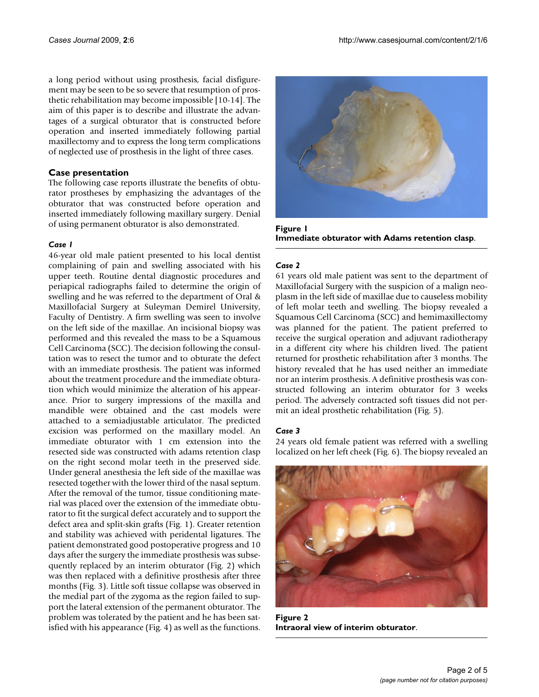a long period without using prosthesis, facial disfigurement may be seen to be so severe that resumption of prosthetic rehabilitation may become impossible [10-14]. The aim of this paper is to describe and illustrate the advantages of a surgical obturator that is constructed before operation and inserted immediately following partial maxillectomy and to express the long term complications of neglected use of prosthesis in the light of three cases.

### **Case presentation**

The following case reports illustrate the benefits of obturator prostheses by emphasizing the advantages of the obturator that was constructed before operation and inserted immediately following maxillary surgery. Denial of using permanent obturator is also demonstrated.

### *Case 1*

46-year old male patient presented to his local dentist complaining of pain and swelling associated with his upper teeth. Routine dental diagnostic procedures and periapical radiographs failed to determine the origin of swelling and he was referred to the department of Oral & Maxillofacial Surgery at Suleyman Demirel University, Faculty of Dentistry. A firm swelling was seen to involve on the left side of the maxillae. An incisional biopsy was performed and this revealed the mass to be a Squamous Cell Carcinoma (SCC). The decision following the consultation was to resect the tumor and to obturate the defect with an immediate prosthesis. The patient was informed about the treatment procedure and the immediate obturation which would minimize the alteration of his appearance. Prior to surgery impressions of the maxilla and mandible were obtained and the cast models were attached to a semiadjustable articulator. The predicted excision was performed on the maxillary model. An immediate obturator with 1 cm extension into the resected side was constructed with adams retention clasp on the right second molar teeth in the preserved side. Under general anesthesia the left side of the maxillae was resected together with the lower third of the nasal septum. After the removal of the tumor, tissue conditioning material was placed over the extension of the immediate obturator to fit the surgical defect accurately and to support the defect area and split-skin grafts (Fig. 1). Greater retention and stability was achieved with peridental ligatures. The patient demonstrated good postoperative progress and 10 days after the surgery the immediate prosthesis was subsequently replaced by an interim obturator (Fig. 2) which was then replaced with a definitive prosthesis after three months (Fig. 3). Little soft tissue collapse was observed in the medial part of the zygoma as the region failed to support the lateral extension of the permanent obturator. The problem was tolerated by the patient and he has been satisfied with his appearance (Fig. 4) as well as the functions.



**Figure 1 Immediate obturator with Adams retention clasp**.

# *Case 2*

61 years old male patient was sent to the department of Maxillofacial Surgery with the suspicion of a malign neoplasm in the left side of maxillae due to causeless mobility of left molar teeth and swelling. The biopsy revealed a Squamous Cell Carcinoma (SCC) and hemimaxillectomy was planned for the patient. The patient preferred to receive the surgical operation and adjuvant radiotherapy in a different city where his children lived. The patient returned for prosthetic rehabilitation after 3 months. The history revealed that he has used neither an immediate nor an interim prosthesis. A definitive prosthesis was constructed following an interim obturator for 3 weeks period. The adversely contracted soft tissues did not permit an ideal prosthetic rehabilitation (Fig. 5).

#### *Case 3*

24 years old female patient was referred with a swelling localized on her left cheek (Fig. 6). The biopsy revealed an



**Figure 2 Intraoral view of interim obturator**.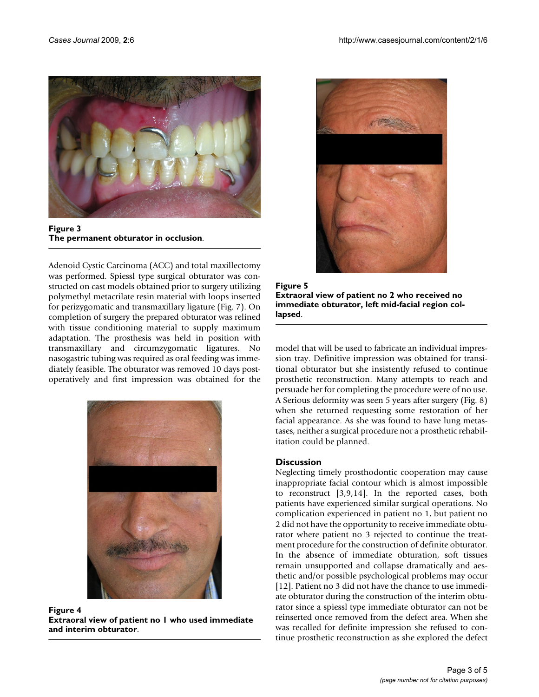

**Figure 3 The permanent obturator in occlusion**.

Adenoid Cystic Carcinoma (ACC) and total maxillectomy was performed. Spiessl type surgical obturator was constructed on cast models obtained prior to surgery utilizing polymethyl metacrilate resin material with loops inserted for perizygomatic and transmaxillary ligature (Fig. 7). On completion of surgery the prepared obturator was relined with tissue conditioning material to supply maximum adaptation. The prosthesis was held in position with transmaxillary and circumzygomatic ligatures. No nasogastric tubing was required as oral feeding was immediately feasible. The obturator was removed 10 days postoperatively and first impression was obtained for the



**Figure 4 Extraoral view of patient no 1 who used immediate and interim obturator**.



Figure 5 **Extraoral view of patient no 2 who received no immediate obturator, left mid-facial region collapsed**.

model that will be used to fabricate an individual impression tray. Definitive impression was obtained for transitional obturator but she insistently refused to continue prosthetic reconstruction. Many attempts to reach and persuade her for completing the procedure were of no use. A Serious deformity was seen 5 years after surgery (Fig. 8) when she returned requesting some restoration of her facial appearance. As she was found to have lung metastases, neither a surgical procedure nor a prosthetic rehabilitation could be planned.

# **Discussion**

Neglecting timely prosthodontic cooperation may cause inappropriate facial contour which is almost impossible to reconstruct [3,9,14]. In the reported cases, both patients have experienced similar surgical operations. No complication experienced in patient no 1, but patient no 2 did not have the opportunity to receive immediate obturator where patient no 3 rejected to continue the treatment procedure for the construction of definite obturator. In the absence of immediate obturation, soft tissues remain unsupported and collapse dramatically and aesthetic and/or possible psychological problems may occur [12]. Patient no 3 did not have the chance to use immediate obturator during the construction of the interim obturator since a spiessl type immediate obturator can not be reinserted once removed from the defect area. When she was recalled for definite impression she refused to continue prosthetic reconstruction as she explored the defect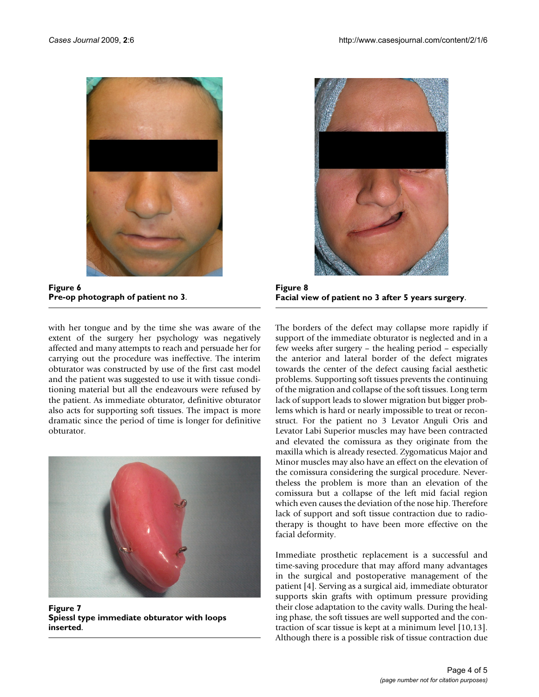

**Figure 6 Pre-op photograph of patient no 3**.

with her tongue and by the time she was aware of the extent of the surgery her psychology was negatively affected and many attempts to reach and persuade her for carrying out the procedure was ineffective. The interim obturator was constructed by use of the first cast model and the patient was suggested to use it with tissue conditioning material but all the endeavours were refused by the patient. As immediate obturator, definitive obturator also acts for supporting soft tissues. The impact is more dramatic since the period of time is longer for definitive obturator.



**Figure 7 Spiessl type immediate obturator with loops inserted**.



Figure 8 **Facial view of patient no 3 after 5 years surgery**.

The borders of the defect may collapse more rapidly if support of the immediate obturator is neglected and in a few weeks after surgery – the healing period – especially the anterior and lateral border of the defect migrates towards the center of the defect causing facial aesthetic problems. Supporting soft tissues prevents the continuing of the migration and collapse of the soft tissues. Long term lack of support leads to slower migration but bigger problems which is hard or nearly impossible to treat or reconstruct. For the patient no 3 Levator Anguli Oris and Levator Labi Superior muscles may have been contracted and elevated the comissura as they originate from the maxilla which is already resected. Zygomaticus Major and Minor muscles may also have an effect on the elevation of the comissura considering the surgical procedure. Nevertheless the problem is more than an elevation of the comissura but a collapse of the left mid facial region which even causes the deviation of the nose hip. Therefore lack of support and soft tissue contraction due to radiotherapy is thought to have been more effective on the facial deformity.

Immediate prosthetic replacement is a successful and time-saving procedure that may afford many advantages in the surgical and postoperative management of the patient [4]. Serving as a surgical aid, immediate obturator supports skin grafts with optimum pressure providing their close adaptation to the cavity walls. During the healing phase, the soft tissues are well supported and the contraction of scar tissue is kept at a minimum level [10,13]. Although there is a possible risk of tissue contraction due